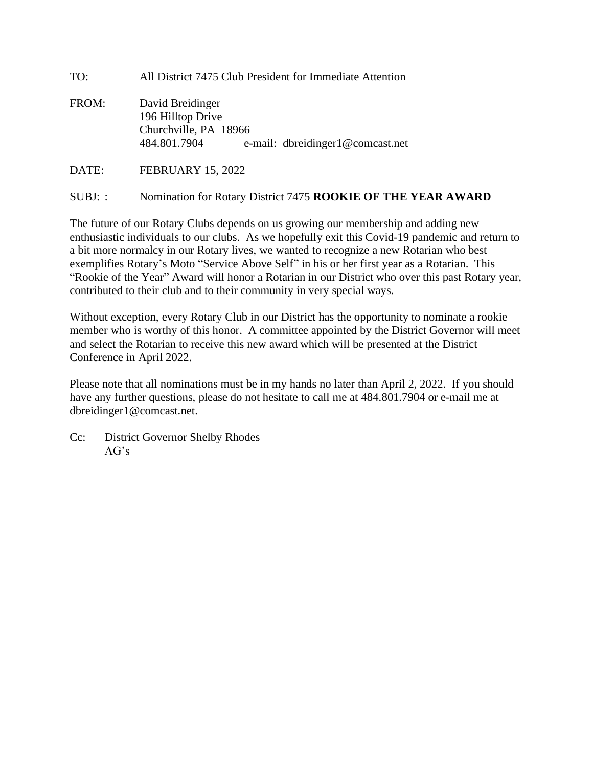| TO:<br>All District 7475 Club President for Immediate Attention |  |
|-----------------------------------------------------------------|--|
|-----------------------------------------------------------------|--|

FROM: David Breidinger 196 Hilltop Drive Churchville, PA 18966 484.801.7904 e-mail: dbreidinger1@comcast.net

DATE: FEBRUARY 15, 2022

## SUBJ: : Nomination for Rotary District 7475 **ROOKIE OF THE YEAR AWARD**

The future of our Rotary Clubs depends on us growing our membership and adding new enthusiastic individuals to our clubs. As we hopefully exit this Covid-19 pandemic and return to a bit more normalcy in our Rotary lives, we wanted to recognize a new Rotarian who best exemplifies Rotary's Moto "Service Above Self" in his or her first year as a Rotarian. This "Rookie of the Year" Award will honor a Rotarian in our District who over this past Rotary year, contributed to their club and to their community in very special ways.

Without exception, every Rotary Club in our District has the opportunity to nominate a rookie member who is worthy of this honor. A committee appointed by the District Governor will meet and select the Rotarian to receive this new award which will be presented at the District Conference in April 2022.

Please note that all nominations must be in my hands no later than April 2, 2022. If you should have any further questions, please do not hesitate to call me at 484.801.7904 or e-mail me at dbreidinger1@comcast.net.

Cc: District Governor Shelby Rhodes  $AG's$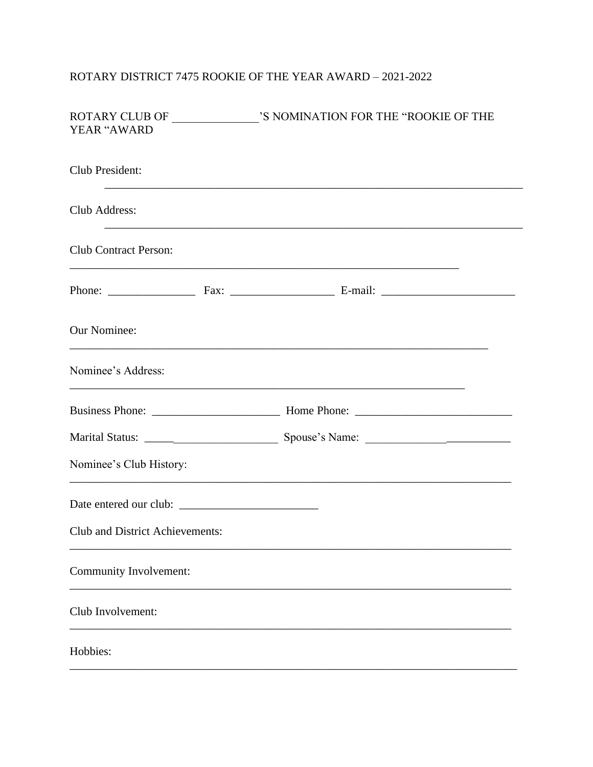## ROTARY DISTRICT 7475 ROOKIE OF THE YEAR AWARD  $-$  2021-2022  $\,$

| YEAR "AWARD                            |  |
|----------------------------------------|--|
| Club President:                        |  |
| Club Address:                          |  |
| <b>Club Contract Person:</b>           |  |
|                                        |  |
| <b>Our Nominee:</b>                    |  |
| Nominee's Address:                     |  |
|                                        |  |
|                                        |  |
| Nominee's Club History:                |  |
|                                        |  |
| <b>Club and District Achievements:</b> |  |
| Community Involvement:                 |  |
| Club Involvement:                      |  |
| Hobbies:                               |  |